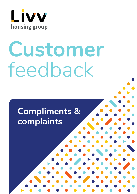

# **Customer** feedback

# **Compliments & complaints**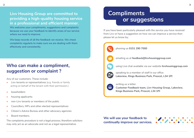#### **Livv Housing Group are committed to providing a high-quality housing service in a professional and efficient manner.**

We welcome your compliments, suggestions and complaints because we use your feedback to identify areas of our service where we need to improve.

We keep records of all the feedback we receive. We check complaints regularly to make sure we are dealing with them effectively and consistently.

#### **Who can make a compliment, suggestion or complaint ?**

Any of our customers. These include:

- Livv tenants or representatives (e.g. friends or family acting on behalf of the tenant with their permission.)
- leaseholders
- housing applicants
- non-Livv tenants or members of the public
- Councillors, MPs and other elected representatives
- Citizen's Advice Bureau and other advocacy agencies
- Board members

The complaints procedure is not a legal process; therefore solicitors may only act as an advocate and not as a legal representative.

# **Compliments or suggestions**

If you have been particularly pleased with the service you have received from Livv or have a suggestion on how we can improve a service then please let us know by;



phoning us **0151 290 7000**



emailing us at **feedback@livvhousinggroup.com**



using Live chat available via our website **livvhousinggroup.com**



景

speaking to a member of staff in our office **Lakeview, Kings Business Park, Prescot, L34 1PJ** 

#### writing us a letter:

**Customer Feedback team, Livv Housing Group, Lakeview, Kings Business Park, Prescot, L34 1PJ**

#### **We will use your feedback to continually improve our services.**

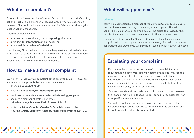#### **What is a complaint?**

A complaint is 'an expression of dissatisfaction with a standard of service, action or lack of action from Livv Housing Group where a response is required'. This could include a perceived service failure or a failure against local or national standards.

A formal complaint is not:

- **• a request for a service e.g. initial reporting of a repair**
- **• a request for information on our policy, or**
- **• an appeal for a review of a decision.**

Livv Housing Group will aim to handle all expressions of dissatisfaction at first point of contact and informally. However, if the action taken does not resolve the complaint a formal complaint will be logged and fully investigated in line with our two stage process.

#### **How to make a formal complaint**

We will try to resolve your complaint at the time you make it. However, if you are not happy with the outcome, then you can:

- **•** phone us **0151 290 7000**
- **•** email us at **feedback@livvhousinggroup.com**
- **•** use Live chat available via our website **livvhousinggroup.com**
- **•** speak to a member of staff in our office **Lakeview, Kings Business Park, Prescot, L34 1PJ**
- **•** write us a letter: **Complex Queries & Complaints team, Livv Housing Group, Lakeview, Kings Business Park, Prescot, L34 1PJ.**

## **What will happen next?**

#### Stage 1

You will be contacted by a member of the Complex Queries & Complaints team within one working day of receiving your complaint. This will usually be via a phone call or email. You will be asked to provide further details of your complaint and how you would like it to be resolved.

The member of the Complex Queries & Complaints team handling your complaint will aim to complete the necessary investigations with the relevant departments and provide you with a written response within 10 working days

## **Escalating your complaint**

If you are unhappy with the outcome of your complaint you can request that it is reviewed. You will need to provide us with specific reasons for requesting this review and/or provide additional information that has not previously been considered. Your request may be refused if Livv Housing Group can demonstrate that they have followed policy or legal requirements.

Your request should be made within 21 calendar days, however this period may be extended under certain circumstances, for example if you were in hospital.

You will be contacted within three working days from when the escalation request was received to acknowledge the escalation and to confirm whether it has been accepted.